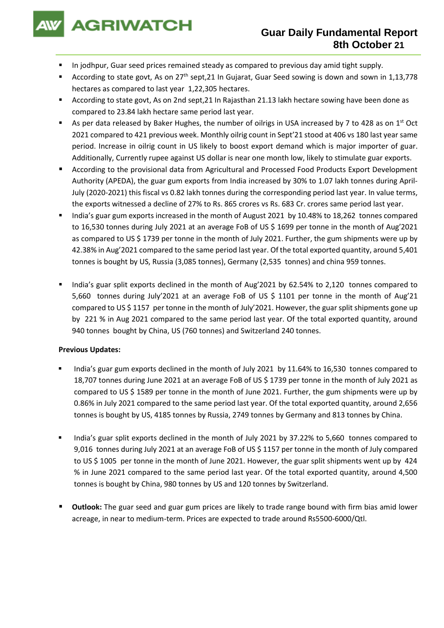

- In jodhpur, Guar seed prices remained steady as compared to previous day amid tight supply.
- According to state govt, As on 27<sup>th</sup> sept,21 In Gujarat, Guar Seed sowing is down and sown in 1,13,778 hectares as compared to last year 1,22,305 hectares.
- According to state govt, As on 2nd sept, 21 In Rajasthan 21.13 lakh hectare sowing have been done as compared to 23.84 lakh hectare same period last year.
- As per data released by Baker Hughes, the number of oilrigs in USA increased by 7 to 428 as on 1<sup>st</sup> Oct 2021 compared to 421 previous week. Monthly oilrig count in Sept'21 stood at 406 vs 180 last year same period. Increase in oilrig count in US likely to boost export demand which is major importer of guar. Additionally, Currently rupee against US dollar is near one month low, likely to stimulate guar exports.
- According to the provisional data from Agricultural and Processed Food Products Export Development Authority (APEDA), the guar gum exports from India increased by 30% to 1.07 lakh tonnes during April-July (2020-2021) this fiscal vs 0.82 lakh tonnes during the corresponding period last year. In value terms, the exports witnessed a decline of 27% to Rs. 865 crores vs Rs. 683 Cr. crores same period last year.
- India's guar gum exports increased in the month of August 2021 by 10.48% to 18,262 tonnes compared to 16,530 tonnes during July 2021 at an average FoB of US \$ 1699 per tonne in the month of Aug'2021 as compared to US \$ 1739 per tonne in the month of July 2021. Further, the gum shipments were up by 42.38% in Aug'2021 compared to the same period last year. Of the total exported quantity, around 5,401 tonnes is bought by US, Russia (3,085 tonnes), Germany (2,535 tonnes) and china 959 tonnes.
- India's guar split exports declined in the month of Aug'2021 by 62.54% to 2,120 tonnes compared to 5,660 tonnes during July'2021 at an average FoB of US \$ 1101 per tonne in the month of Aug'21 compared to US \$ 1157 per tonne in the month of July'2021. However, the guar split shipments gone up by 221 % in Aug 2021 compared to the same period last year. Of the total exported quantity, around 940 tonnes bought by China, US (760 tonnes) and Switzerland 240 tonnes.

## **Previous Updates:**

- India's guar gum exports declined in the month of July 2021 by 11.64% to 16,530 tonnes compared to 18,707 tonnes during June 2021 at an average FoB of US \$ 1739 per tonne in the month of July 2021 as compared to US \$ 1589 per tonne in the month of June 2021. Further, the gum shipments were up by 0.86% in July 2021 compared to the same period last year. Of the total exported quantity, around 2,656 tonnes is bought by US, 4185 tonnes by Russia, 2749 tonnes by Germany and 813 tonnes by China.
- India's guar split exports declined in the month of July 2021 by 37.22% to 5,660 tonnes compared to 9,016 tonnes during July 2021 at an average FoB of US \$ 1157 per tonne in the month of July compared to US \$ 1005 per tonne in the month of June 2021. However, the guar split shipments went up by 424 % in June 2021 compared to the same period last year. Of the total exported quantity, around 4,500 tonnes is bought by China, 980 tonnes by US and 120 tonnes by Switzerland.
- **Outlook:** The guar seed and guar gum prices are likely to trade range bound with firm bias amid lower acreage, in near to medium-term. Prices are expected to trade around Rs5500-6000/Qtl.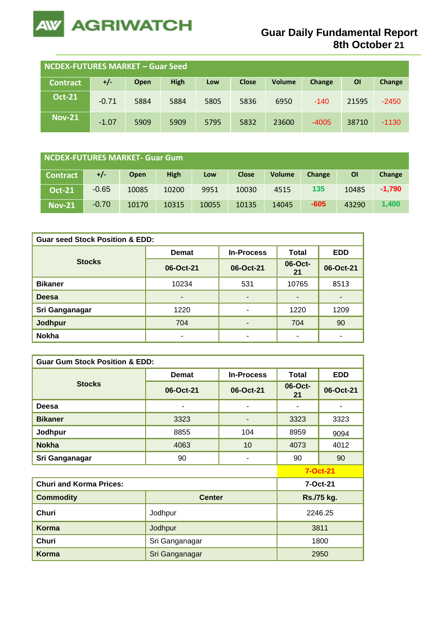

| NCDEX-FUTURES MARKET - Guar Seed |         |      |             |      |              |               |         |       |         |
|----------------------------------|---------|------|-------------|------|--------------|---------------|---------|-------|---------|
| <b>Contract</b>                  | $+/-$   | Open | <b>High</b> | Low  | <b>Close</b> | <b>Volume</b> | Change  | ΟI    | Change  |
| <b>Oct-21</b>                    | $-0.71$ | 5884 | 5884        | 5805 | 5836         | 6950          | $-140$  | 21595 | $-2450$ |
| <b>Nov-21</b>                    | $-1.07$ | 5909 | 5909        | 5795 | 5832         | 23600         | $-4005$ | 38710 | $-1130$ |

| NCDEX-FUTURES MARKET- Guar Gum |         |             |             |       |              |               |        |           |          |
|--------------------------------|---------|-------------|-------------|-------|--------------|---------------|--------|-----------|----------|
| <b>Contract</b>                | +/-     | <b>Open</b> | <b>High</b> | Low   | <b>Close</b> | <b>Volume</b> | Change | <b>OI</b> | Change   |
| <b>Oct-21</b>                  | $-0.65$ | 10085       | 10200       | 9951  | 10030        | 4515          | 135    | 10485     | $-1.790$ |
| <b>Nov-21</b>                  | $-0.70$ | 10170       | 10315       | 10055 | 10135        | 14045         | $-605$ | 43290     | 1.400    |

| <b>Guar seed Stock Position &amp; EDD:</b> |              |                   |               |            |  |  |  |  |
|--------------------------------------------|--------------|-------------------|---------------|------------|--|--|--|--|
|                                            | <b>Demat</b> | <b>In-Process</b> |               | <b>EDD</b> |  |  |  |  |
| <b>Stocks</b>                              | 06-Oct-21    | 06-Oct-21         | 06-Oct-<br>21 | 06-Oct-21  |  |  |  |  |
| <b>Bikaner</b>                             | 10234        | 531               | 10765         | 8513       |  |  |  |  |
| <b>Deesa</b>                               | ٠            | ٠                 |               |            |  |  |  |  |
| Sri Ganganagar                             | 1220         | ۰                 | 1220          | 1209       |  |  |  |  |
| Jodhpur                                    | 704          | -                 | 704           | 90         |  |  |  |  |
| <b>Nokha</b>                               |              | ۰                 |               |            |  |  |  |  |

| <b>Guar Gum Stock Position &amp; EDD:</b> |                |                   |                 |            |  |  |  |  |
|-------------------------------------------|----------------|-------------------|-----------------|------------|--|--|--|--|
|                                           | <b>Demat</b>   | <b>In-Process</b> | <b>Total</b>    | <b>EDD</b> |  |  |  |  |
| <b>Stocks</b>                             | 06-Oct-21      | 06-Oct-21         | 06-Oct-<br>21   | 06-Oct-21  |  |  |  |  |
| Deesa                                     | ۰              | ۰                 |                 |            |  |  |  |  |
| <b>Bikaner</b>                            | 3323           |                   | 3323            | 3323       |  |  |  |  |
| Jodhpur                                   | 8855           | 104               | 8959            | 9094       |  |  |  |  |
| <b>Nokha</b>                              | 4063           | 10                | 4073            | 4012       |  |  |  |  |
| Sri Ganganagar                            | 90             |                   | 90              | 90         |  |  |  |  |
|                                           |                |                   | <b>7-Oct-21</b> |            |  |  |  |  |
| <b>Churi and Korma Prices:</b>            |                |                   | 7-Oct-21        |            |  |  |  |  |
| <b>Commodity</b>                          | <b>Center</b>  |                   | Rs./75 kg.      |            |  |  |  |  |
| <b>Churi</b>                              | Jodhpur        | 2246.25           |                 |            |  |  |  |  |
| Korma                                     | Jodhpur        | 3811              |                 |            |  |  |  |  |
| Churi                                     | Sri Ganganagar | 1800              |                 |            |  |  |  |  |
| Korma                                     | Sri Ganganagar |                   |                 | 2950       |  |  |  |  |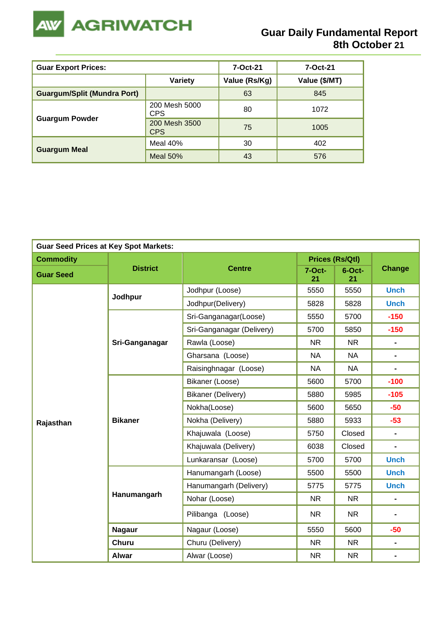

| <b>Guar Export Prices:</b>         | 7-Oct-21                    | 7-Oct-21      |               |
|------------------------------------|-----------------------------|---------------|---------------|
|                                    | <b>Variety</b>              | Value (Rs/Kg) | Value (\$/MT) |
| <b>Guargum/Split (Mundra Port)</b> |                             | 63            | 845           |
|                                    | 200 Mesh 5000<br><b>CPS</b> | 80            | 1072          |
| <b>Guargum Powder</b>              | 200 Mesh 3500<br><b>CPS</b> | 75            | 1005          |
|                                    | Meal 40%                    | 30            | 402           |
| <b>Guargum Meal</b>                | <b>Meal 50%</b>             | 43            | 576           |

| <b>Guar Seed Prices at Key Spot Markets:</b> |                 |                                                    |                        |                                                                                                                                                           |                |  |  |  |  |
|----------------------------------------------|-----------------|----------------------------------------------------|------------------------|-----------------------------------------------------------------------------------------------------------------------------------------------------------|----------------|--|--|--|--|
| <b>Commodity</b>                             |                 |                                                    | <b>Prices (Rs/Qtl)</b> |                                                                                                                                                           |                |  |  |  |  |
| <b>Guar Seed</b>                             | <b>District</b> | <b>Centre</b>                                      | $7-Oct-$<br>21         | $6$ -Oct-<br>21                                                                                                                                           | <b>Change</b>  |  |  |  |  |
|                                              | Jodhpur         | Jodhpur (Loose)                                    | 5550                   | 5550                                                                                                                                                      | <b>Unch</b>    |  |  |  |  |
|                                              |                 | Jodhpur(Delivery)                                  | 5828                   | 5828                                                                                                                                                      | <b>Unch</b>    |  |  |  |  |
|                                              |                 | Sri-Ganganagar(Loose)                              | 5550                   | 5700                                                                                                                                                      | $-150$         |  |  |  |  |
|                                              |                 | Sri-Ganganagar (Delivery)                          | 5700                   | 5850                                                                                                                                                      | $-150$         |  |  |  |  |
|                                              | Sri-Ganganagar  | Rawla (Loose)                                      | <b>NR</b>              | <b>NR</b>                                                                                                                                                 | ۰              |  |  |  |  |
|                                              |                 | Gharsana (Loose)                                   | <b>NA</b>              | <b>NA</b>                                                                                                                                                 | $\blacksquare$ |  |  |  |  |
|                                              |                 | Raisinghnagar (Loose)                              | <b>NA</b>              | <b>NA</b>                                                                                                                                                 | $\blacksquare$ |  |  |  |  |
|                                              |                 | Bikaner (Loose)                                    | 5600                   | 5700                                                                                                                                                      | $-100$         |  |  |  |  |
|                                              |                 | Bikaner (Delivery)<br>5880<br>Nokha(Loose)<br>5600 | 5985                   | $-105$                                                                                                                                                    |                |  |  |  |  |
|                                              |                 |                                                    | 5650                   | $-50$                                                                                                                                                     |                |  |  |  |  |
| Rajasthan                                    | <b>Bikaner</b>  | Nokha (Delivery)                                   | 5880                   | 5933                                                                                                                                                      | $-53$          |  |  |  |  |
|                                              |                 | Khajuwala (Loose)                                  | 5750                   | Closed                                                                                                                                                    |                |  |  |  |  |
|                                              |                 | Khajuwala (Delivery)                               | Closed                 | $\blacksquare$                                                                                                                                            |                |  |  |  |  |
|                                              |                 | Lunkaransar (Loose)                                | 5700                   | 6038<br>5700<br><b>Unch</b><br>5500<br>5775<br><b>NR</b><br><b>NR</b><br>$\blacksquare$<br>5600<br>$-50$<br><b>NR</b><br>۰<br><b>NR</b><br>$\blacksquare$ |                |  |  |  |  |
|                                              |                 | Hanumangarh (Loose)                                | 5500                   | <b>Unch</b>                                                                                                                                               |                |  |  |  |  |
|                                              |                 | Hanumangarh (Delivery)                             | 5775                   |                                                                                                                                                           | <b>Unch</b>    |  |  |  |  |
|                                              | Hanumangarh     | Nohar (Loose)                                      | <b>NR</b>              |                                                                                                                                                           |                |  |  |  |  |
|                                              |                 | Pilibanga (Loose)                                  | <b>NR</b>              |                                                                                                                                                           |                |  |  |  |  |
|                                              | <b>Nagaur</b>   | Nagaur (Loose)                                     | 5550                   |                                                                                                                                                           |                |  |  |  |  |
|                                              | <b>Churu</b>    | Churu (Delivery)                                   | <b>NR</b>              |                                                                                                                                                           |                |  |  |  |  |
|                                              | <b>Alwar</b>    | Alwar (Loose)                                      | <b>NR</b>              |                                                                                                                                                           |                |  |  |  |  |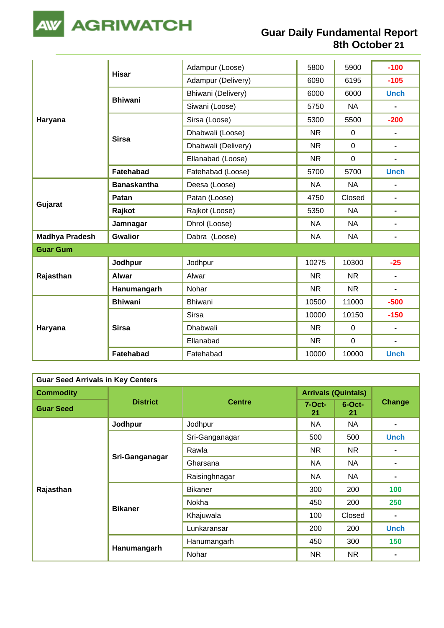

| Haryana               |                    | Adampur (Loose)     | 5800      | 5900         | $-100$                   |
|-----------------------|--------------------|---------------------|-----------|--------------|--------------------------|
|                       | <b>Hisar</b>       | Adampur (Delivery)  | 6090      | 6195         | $-105$                   |
|                       |                    | Bhiwani (Delivery)  | 6000      | 6000         | <b>Unch</b>              |
|                       | <b>Bhiwani</b>     | Siwani (Loose)      | 5750      | <b>NA</b>    | $\blacksquare$           |
|                       |                    | Sirsa (Loose)       | 5300      | 5500         | $-200$                   |
|                       | <b>Sirsa</b>       | Dhabwali (Loose)    | <b>NR</b> | $\mathbf{0}$ | $\overline{\phantom{0}}$ |
|                       |                    | Dhabwali (Delivery) | <b>NR</b> | $\mathbf 0$  | $\blacksquare$           |
|                       |                    | Ellanabad (Loose)   | <b>NR</b> | $\mathbf 0$  | $\blacksquare$           |
|                       | <b>Fatehabad</b>   | Fatehabad (Loose)   | 5700      | 5700         | <b>Unch</b>              |
|                       | <b>Banaskantha</b> | Deesa (Loose)       | <b>NA</b> | <b>NA</b>    |                          |
|                       | Patan              | Patan (Loose)       | 4750      | Closed       | $\blacksquare$           |
| Gujarat               | Rajkot             | Rajkot (Loose)      | 5350      | <b>NA</b>    | $\blacksquare$           |
|                       | Jamnagar           | Dhrol (Loose)       | <b>NA</b> | <b>NA</b>    | $\blacksquare$           |
| <b>Madhya Pradesh</b> | <b>Gwalior</b>     | Dabra (Loose)       | <b>NA</b> | <b>NA</b>    | $\blacksquare$           |
| <b>Guar Gum</b>       |                    |                     |           |              |                          |
|                       | Jodhpur            | Jodhpur             | 10275     | 10300        | $-25$                    |
| Rajasthan             | <b>Alwar</b>       | Alwar               | <b>NR</b> | <b>NR</b>    | $\blacksquare$           |
|                       | Hanumangarh        | Nohar               | <b>NR</b> | <b>NR</b>    | $\blacksquare$           |
|                       | <b>Bhiwani</b>     | <b>Bhiwani</b>      | 10500     | 11000        | $-500$                   |
|                       |                    | <b>Sirsa</b>        | 10000     | 10150        | $-150$                   |
| Haryana               | <b>Sirsa</b>       | Dhabwali            | <b>NR</b> | $\mathbf 0$  | $\blacksquare$           |
|                       |                    | Ellanabad           | <b>NR</b> | $\mathbf 0$  | $\blacksquare$           |
|                       | Fatehabad          | Fatehabad           | 10000     | 10000        | <b>Unch</b>              |

| <b>Guar Seed Arrivals in Key Centers</b> |                 |                |                            |                 |                |  |  |
|------------------------------------------|-----------------|----------------|----------------------------|-----------------|----------------|--|--|
| <b>Commodity</b>                         | <b>District</b> | <b>Centre</b>  | <b>Arrivals (Quintals)</b> |                 |                |  |  |
| <b>Guar Seed</b>                         |                 |                | $7-Oct-$<br>21             | $6$ -Oct-<br>21 | <b>Change</b>  |  |  |
|                                          | Jodhpur         | Jodhpur        | NA                         | <b>NA</b>       |                |  |  |
|                                          |                 | Sri-Ganganagar | 500                        | 500             | <b>Unch</b>    |  |  |
|                                          | Sri-Ganganagar  | Rawla          | NR.                        | NR.             |                |  |  |
|                                          |                 | Gharsana       | NA                         | NA              |                |  |  |
|                                          |                 | Raisinghnagar  | NA                         | <b>NA</b>       |                |  |  |
| Rajasthan                                |                 | <b>Bikaner</b> | 300                        | 200             | 100            |  |  |
|                                          |                 | Nokha          | 450                        | 200             | 250            |  |  |
|                                          | <b>Bikaner</b>  | Khajuwala      | 100                        | Closed          | $\blacksquare$ |  |  |
|                                          |                 | Lunkaransar    | 200                        | 200             | <b>Unch</b>    |  |  |
|                                          |                 | Hanumangarh    | 450                        | 300             | 150            |  |  |
|                                          | Hanumangarh     | Nohar          | NR.                        | NR.             |                |  |  |